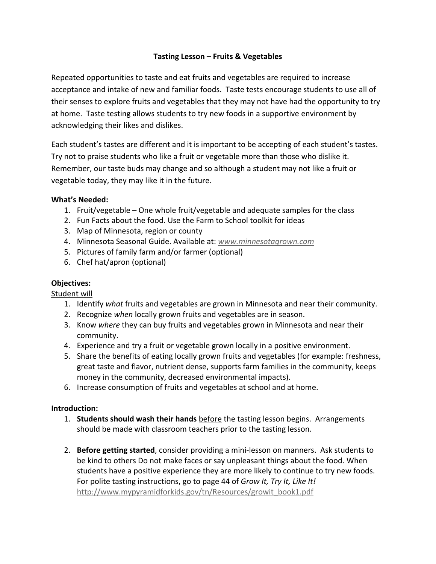## **Tasting Lesson – Fruits & Vegetables**

Repeated opportunities to taste and eat fruits and vegetables are required to increase acceptance and intake of new and familiar foods. Taste tests encourage students to use all of their senses to explore fruits and vegetables that they may not have had the opportunity to try at home. Taste testing allows students to try new foods in a supportive environment by acknowledging their likes and dislikes.

Each student's tastes are different and it is important to be accepting of each student's tastes. Try not to praise students who like a fruit or vegetable more than those who dislike it. Remember, our taste buds may change and so although a student may not like a fruit or vegetable today, they may like it in the future.

### **What's Needed:**

- 1. Fruit/vegetable One whole fruit/vegetable and adequate samples for the class
- 2. Fun Facts about the food. Use the Farm to School toolkit for ideas
- 3. Map of Minnesota, region or county
- 4. Minnesota Seasonal Guide. Available at: *www.minnesotagrown.com*
- 5. Pictures of family farm and/or farmer (optional)
- 6. Chef hat/apron (optional)

### **Objectives:**

Student will

- 1. Identify *what* fruits and vegetables are grown in Minnesota and near their community.
- 2. Recognize *when* locally grown fruits and vegetables are in season.
- 3. Know *where* they can buy fruits and vegetables grown in Minnesota and near their community.
- 4. Experience and try a fruit or vegetable grown locally in a positive environment.
- 5. Share the benefits of eating locally grown fruits and vegetables (for example: freshness, great taste and flavor, nutrient dense, supports farm families in the community, keeps money in the community, decreased environmental impacts).
- 6. Increase consumption of fruits and vegetables at school and at home.

### **Introduction:**

- 1. **Students should wash their hands** before the tasting lesson begins. Arrangements should be made with classroom teachers prior to the tasting lesson.
- 2. **Before getting started**, consider providing a mini‐lesson on manners. Ask students to be kind to others Do not make faces or say unpleasant things about the food. When students have a positive experience they are more likely to continue to try new foods. For polite tasting instructions, go to page 44 of *Grow It, Try It, Like It!* http://www.mypyramidforkids.gov/tn/Resources/growit\_book1.pdf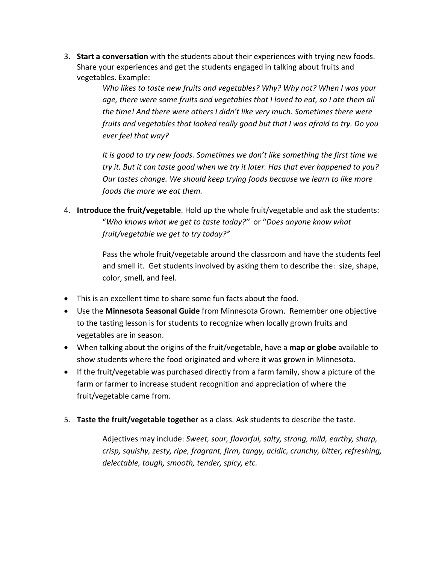3. **Start a conversation** with the students about their experiences with trying new foods. Share your experiences and get the students engaged in talking about fruits and vegetables. Example:

> *Who likes to taste new fruits and vegetables? Why? Why not? When I was your age, there were some fruits and vegetables that I loved to eat, so I ate them all the time! And there were others I didn't like very much. Sometimes there were fruits and vegetables that looked really good but that I was afraid to try. Do you ever feel that way?*

> *It is good to try new foods. Sometimes we don't like something the first time we try it. But it can taste good when we try it later. Has that ever happened to you? Our tastes change. We should keep trying foods because we learn to like more foods the more we eat them.*

4. **Introduce the fruit/vegetable**. Hold up the whole fruit/vegetable and ask the students: "*Who knows what we get to taste today?"* or "*Does anyone know what fruit/vegetable we get to try today?"*

> Pass the whole fruit/vegetable around the classroom and have the students feel and smell it. Get students involved by asking them to describe the: size, shape, color, smell, and feel.

- This is an excellent time to share some fun facts about the food.
- Use the **Minnesota Seasonal Guide** from Minnesota Grown. Remember one objective to the tasting lesson is for students to recognize when locally grown fruits and vegetables are in season.
- When talking about the origins of the fruit/vegetable, have a **map or globe** available to show students where the food originated and where it was grown in Minnesota.
- If the fruit/vegetable was purchased directly from a farm family, show a picture of the farm or farmer to increase student recognition and appreciation of where the fruit/vegetable came from.
- 5. **Taste the fruit/vegetable together** as a class. Ask students to describe the taste.

Adjectives may include: *Sweet, sour, flavorful, salty, strong, mild, earthy, sharp, crisp, squishy, zesty, ripe, fragrant, firm, tangy, acidic, crunchy, bitter, refreshing, delectable, tough, smooth, tender, spicy, etc.*